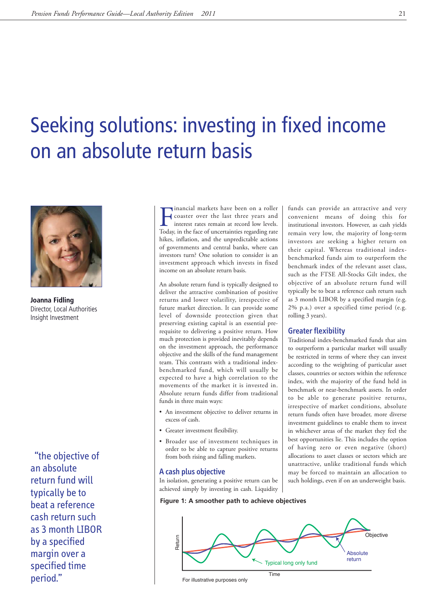# Seeking solutions: investing in fixed income on an absolute return basis



**Joanna Fidling** Director, Local Authorities Insight Investment

"the objective of an absolute return fund will typically be to beat a reference cash return such as 3 month LIBOR by a specified margin over a specified time period." The contract of the contract of the contract of the contract of the contract of the contract of the contract of the contract of the contract of the contract of the contract of the contract of the contract of the c

Inancial markets have been on a roller<br>Coaster over the last three years and<br>interest rates remain at record low levels.<br>Today, in the face of uncertainties regarding rate inancial markets have been on a roller coaster over the last three years and interest rates remain at record low levels. hikes, inflation, and the unpredictable actions of governments and central banks, where can investors turn? One solution to consider is an investment approach which invests in fixed income on an absolute return basis.

An absolute return fund is typically designed to deliver the attractive combination of positive returns and lower volatility, irrespective of future market direction. It can provide some level of downside protection given that preserving existing capital is an essential prerequisite to delivering a positive return. How much protection is provided inevitably depends on the investment approach, the performance objective and the skills of the fund management team. This contrasts with a traditional indexbenchmarked fund, which will usually be expected to have a high correlation to the movements of the market it is invested in. Absolute return funds differ from traditional funds in three main ways:

- An investment objective to deliver returns in excess of cash.
- Greater investment flexibility.
- Broader use of investment techniques in order to be able to capture positive returns from both rising and falling markets.

#### A cash plus objective

In isolation, generating a positive return can be achieved simply by investing in cash. Liquidity

**Figure 1: A smoother path to achieve objectives**

convenient means of doing this for institutional investors. However, as cash yields remain very low, the majority of long-term investors are seeking a higher return on their capital. Whereas traditional indexbenchmarked funds aim to outperform the benchmark index of the relevant asset class, such as the FTSE All-Stocks Gilt index, the objective of an absolute return fund will typically be to beat a reference cash return such as 3 month LIBOR by a specified margin (e.g. 2% p.a.) over a specified time period (e.g. rolling 3 years).

funds can provide an attractive and very

## Greater flexibility

Traditional index-benchmarked funds that aim to outperform a particular market will usually be restricted in terms of where they can invest according to the weighting of particular asset classes, countries or sectors within the reference index, with the majority of the fund held in benchmark or near-benchmark assets. In order to be able to generate positive returns, irrespective of market conditions, absolute return funds often have broader, more diverse investment guidelines to enable them to invest in whichever areas of the market they feel the best opportunities lie. This includes the option of having zero or even negative (short) allocations to asset classes or sectors which are unattractive, unlike traditional funds which may be forced to maintain an allocation to such holdings, even if on an underweight basis.

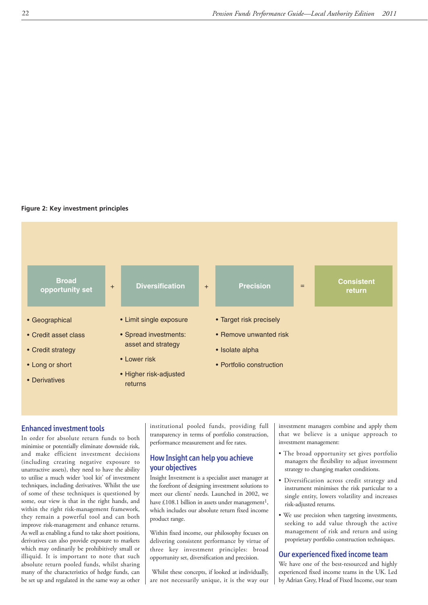#### **Figure 2: Key investment principles**



## Enhanced investment tools

In order for absolute return funds to both minimise or potentially eliminate downside risk, and make efficient investment decisions (including creating negative exposure to unattractive assets), they need to have the ability to utilise a much wider 'tool kit' of investment techniques, including derivatives. Whilst the use of some of these techniques is questioned by some, our view is that in the right hands, and within the right risk-management framework, they remain a powerful tool and can both improve risk-management and enhance returns. As well as enabling a fund to take short positions, derivatives can also provide exposure to markets which may ordinarily be prohibitively small or illiquid. It is important to note that such absolute return pooled funds, whilst sharing many of the characteristics of hedge funds, can be set up and regulated in the same way as other

institutional pooled funds, providing full transparency in terms of portfolio construction, performance measurement and fee rates.

## How Insight can help you achieve your objectives

Insight Investment is a specialist asset manager at the forefront of designing investment solutions to meet our clients' needs. Launched in 2002, we have £108.1 billion in assets under management<sup>1</sup>, which includes our absolute return fixed income product range.

Within fixed income, our philosophy focuses on delivering consistent performance by virtue of three key investment principles: broad opportunity set, diversification and precision.

Whilst these concepts, if looked at individually, are not necessarily unique, it is the way our

investment managers combine and apply them that we believe is a unique approach to investment management:

- The broad opportunity set gives portfolio managers the flexibility to adjust investment strategy to changing market conditions.
- Diversification across credit strategy and instrument minimises the risk particular to a single entity, lowers volatility and increases risk-adjusted returns.
- We use precision when targeting investments, seeking to add value through the active management of risk and return and using proprietary portfolio construction techniques.

## Our experienced fixed income team

We have one of the best-resourced and highly experienced fixed income teams in the UK. Led by Adrian Grey, Head of Fixed Income, our team